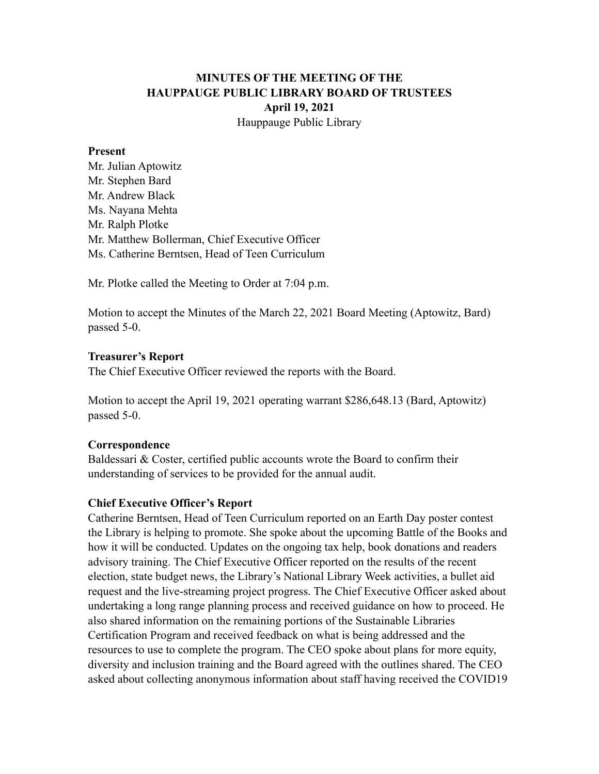# **MINUTES OF THE MEETING OF THE HAUPPAUGE PUBLIC LIBRARY BOARD OF TRUSTEES April 19, 2021** Hauppauge Public Library

#### **Present**

Mr. Julian Aptowitz Mr. Stephen Bard Mr. Andrew Black Ms. Nayana Mehta Mr. Ralph Plotke Mr. Matthew Bollerman, Chief Executive Officer Ms. Catherine Berntsen, Head of Teen Curriculum

Mr. Plotke called the Meeting to Order at 7:04 p.m.

Motion to accept the Minutes of the March 22, 2021 Board Meeting (Aptowitz, Bard) passed 5-0.

#### **Treasurer's Report**

The Chief Executive Officer reviewed the reports with the Board.

Motion to accept the April 19, 2021 operating warrant \$286,648.13 (Bard, Aptowitz) passed 5-0.

## **Correspondence**

Baldessari & Coster, certified public accounts wrote the Board to confirm their understanding of services to be provided for the annual audit.

## **Chief Executive Officer's Report**

Catherine Berntsen, Head of Teen Curriculum reported on an Earth Day poster contest the Library is helping to promote. She spoke about the upcoming Battle of the Books and how it will be conducted. Updates on the ongoing tax help, book donations and readers advisory training. The Chief Executive Officer reported on the results of the recent election, state budget news, the Library's National Library Week activities, a bullet aid request and the live-streaming project progress. The Chief Executive Officer asked about undertaking a long range planning process and received guidance on how to proceed. He also shared information on the remaining portions of the Sustainable Libraries Certification Program and received feedback on what is being addressed and the resources to use to complete the program. The CEO spoke about plans for more equity, diversity and inclusion training and the Board agreed with the outlines shared. The CEO asked about collecting anonymous information about staff having received the COVID19